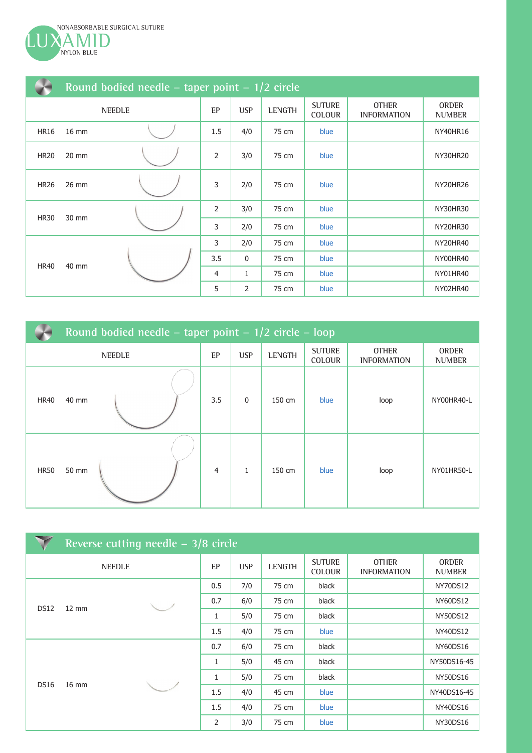

|             | Round bodied needle – taper point – $1/2$ circle |    |                |               |                                |                                    |                               |                 |  |  |  |  |
|-------------|--------------------------------------------------|----|----------------|---------------|--------------------------------|------------------------------------|-------------------------------|-----------------|--|--|--|--|
|             | <b>NEEDLE</b>                                    | EP | <b>USP</b>     | <b>LENGTH</b> | <b>SUTURE</b><br><b>COLOUR</b> | <b>OTHER</b><br><b>INFORMATION</b> | <b>ORDER</b><br><b>NUMBER</b> |                 |  |  |  |  |
| <b>HR16</b> | 16 mm                                            |    | 1.5            | 4/0           | 75 cm                          | blue                               |                               | <b>NY40HR16</b> |  |  |  |  |
| <b>HR20</b> | 20 mm                                            |    | 2              | 3/0           | 75 cm                          | blue                               |                               | NY30HR20        |  |  |  |  |
| <b>HR26</b> | 26 mm                                            |    | 3              | 2/0           | 75 cm                          | blue                               |                               | NY20HR26        |  |  |  |  |
| <b>HR30</b> | 30 mm                                            |    | $\overline{2}$ | 3/0           | 75 cm                          | blue                               |                               | NY30HR30        |  |  |  |  |
|             |                                                  |    | 3              | 2/0           | 75 cm                          | blue                               |                               | NY20HR30        |  |  |  |  |
|             |                                                  |    | 3              | 2/0           | 75 cm                          | blue                               |                               | NY20HR40        |  |  |  |  |
|             | 40 mm                                            |    | 3.5            | 0             | 75 cm                          | blue                               |                               | NY00HR40        |  |  |  |  |
| <b>HR40</b> |                                                  |    | 4              | 1             | 75 cm                          | blue                               |                               | NY01HR40        |  |  |  |  |
|             |                                                  |    | 5              | 2             | 75 cm                          | blue                               |                               | NY02HR40        |  |  |  |  |

|               | Round bodied needle – taper point – $1/2$ circle – loop |  |                |            |               |                                |                                    |                               |  |  |  |  |
|---------------|---------------------------------------------------------|--|----------------|------------|---------------|--------------------------------|------------------------------------|-------------------------------|--|--|--|--|
| <b>NEEDLE</b> |                                                         |  | EP             | <b>USP</b> | <b>LENGTH</b> | <b>SUTURE</b><br><b>COLOUR</b> | <b>OTHER</b><br><b>INFORMATION</b> | <b>ORDER</b><br><b>NUMBER</b> |  |  |  |  |
| <b>HR40</b>   | 40 mm                                                   |  | 3.5            | 0          | 150 cm        | blue                           | loop                               | NY00HR40-L                    |  |  |  |  |
| <b>HR50</b>   | 50 mm                                                   |  | $\overline{4}$ | 1          | 150 cm        | blue                           | loop                               | NY01HR50-L                    |  |  |  |  |

|                           |                 | Reverse cutting needle - 3/8 circle |     |            |               |                                |                                    |                               |
|---------------------------|-----------------|-------------------------------------|-----|------------|---------------|--------------------------------|------------------------------------|-------------------------------|
| <b>NEEDLE</b>             |                 |                                     |     | <b>USP</b> | <b>LENGTH</b> | <b>SUTURE</b><br><b>COLOUR</b> | <b>OTHER</b><br><b>INFORMATION</b> | <b>ORDER</b><br><b>NUMBER</b> |
| DS12<br>$12 \, \text{mm}$ |                 |                                     | 0.5 | 7/0        | 75 cm         | black                          |                                    | NY70DS12                      |
|                           |                 | 0.7                                 | 6/0 | 75 cm      | black         |                                | <b>NY60DS12</b>                    |                               |
|                           |                 | 1                                   | 5/0 | 75 cm      | black         |                                | <b>NY50DS12</b>                    |                               |
|                           |                 | 1.5                                 | 4/0 | 75 cm      | blue          |                                | <b>NY40DS12</b>                    |                               |
|                           |                 |                                     | 0.7 | 6/0        | 75 cm         | black                          |                                    | <b>NY60DS16</b>               |
|                           |                 |                                     | 1   | 5/0        | 45 cm         | black                          |                                    | NY50DS16-45                   |
| <b>DS16</b>               |                 |                                     | 1   | 5/0        | 75 cm         | black                          |                                    | <b>NY50DS16</b>               |
|                           | $16 \text{ mm}$ |                                     | 1.5 | 4/0        | 45 cm         | blue                           |                                    | NY40DS16-45                   |
|                           |                 |                                     | 1.5 | 4/0        | 75 cm         | blue                           |                                    | NY40DS16                      |
|                           |                 |                                     | 2   | 3/0        | 75 cm         | blue                           |                                    | <b>NY30DS16</b>               |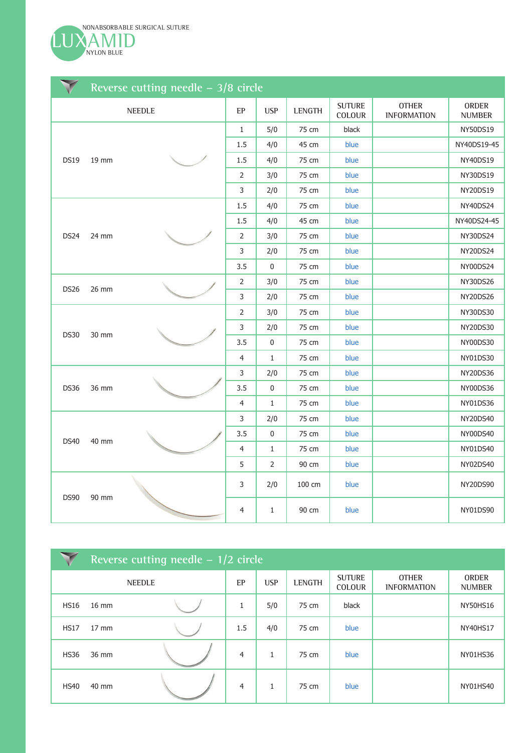

|                      |                      | Reverse cutting needle $-3/8$ circle |                |              |        |                         |                                    |                               |
|----------------------|----------------------|--------------------------------------|----------------|--------------|--------|-------------------------|------------------------------------|-------------------------------|
|                      |                      | <b>NEEDLE</b>                        | EP             | <b>USP</b>   | LENGTH | <b>SUTURE</b><br>COLOUR | <b>OTHER</b><br><b>INFORMATION</b> | <b>ORDER</b><br><b>NUMBER</b> |
|                      |                      |                                      | $\mathbf{1}$   | 5/0          | 75 cm  | black                   |                                    | NY50DS19                      |
|                      |                      |                                      | 1.5            | 4/0          | 45 cm  | blue                    |                                    | NY40DS19-45                   |
| <b>DS19</b>          | 19 mm                |                                      | 1.5            | 4/0          | 75 cm  | blue                    |                                    | <b>NY40DS19</b>               |
|                      |                      |                                      | $\overline{2}$ | 3/0          | 75 cm  | blue                    |                                    | NY30DS19                      |
|                      |                      |                                      | $\mathsf{3}$   | 2/0          | 75 cm  | blue                    |                                    | NY20DS19                      |
|                      |                      |                                      | 1.5            | 4/0          | 75 cm  | blue                    |                                    | <b>NY40DS24</b>               |
|                      | <b>DS24</b><br>24 mm |                                      | 1.5            | 4/0          | 45 cm  | blue                    |                                    | NY40DS24-45                   |
|                      |                      |                                      | $\overline{2}$ | 3/0          | 75 cm  | blue                    |                                    | NY30DS24                      |
|                      |                      | $\mathsf 3$                          | 2/0            | 75 cm        | blue   |                         | NY20DS24                           |                               |
|                      |                      | 3.5                                  | 0              | 75 cm        | blue   |                         | NY00DS24                           |                               |
| <b>DS26</b>          | 26 mm                |                                      | $\overline{2}$ | 3/0          | 75 cm  | blue                    |                                    | <b>NY30DS26</b>               |
|                      |                      |                                      | 3              | 2/0          | 75 cm  | blue                    |                                    | NY20DS26                      |
|                      |                      |                                      | $\overline{2}$ | 3/0          | 75 cm  | blue                    |                                    | NY30DS30                      |
| <b>DS30</b>          | 30 mm                |                                      | $\mathsf{3}$   | 2/0          | 75 cm  | blue                    |                                    | NY20DS30                      |
|                      |                      |                                      | 3.5            | $\pmb{0}$    | 75 cm  | blue                    |                                    | NY00DS30                      |
|                      |                      |                                      | $\overline{4}$ | $\mathbf{1}$ | 75 cm  | blue                    |                                    | NY01DS30                      |
|                      |                      |                                      | $\mathsf{3}$   | 2/0          | 75 cm  | blue                    |                                    | NY20DS36                      |
| <b>DS36</b>          | 36 mm                |                                      | 3.5            | 0            | 75 cm  | blue                    |                                    | NY00DS36                      |
|                      |                      |                                      | 4              | $\mathbf{1}$ | 75 cm  | blue                    |                                    | NY01DS36                      |
|                      |                      |                                      | 3              | 2/0          | 75 cm  | blue                    |                                    | NY20DS40                      |
|                      |                      |                                      | 3.5            | $\pmb{0}$    | 75 cm  | blue                    |                                    | NY00DS40                      |
| <b>DS40</b><br>40 mm |                      | $\overline{4}$                       | $\mathbf{1}$   | 75 cm        | blue   |                         | NY01DS40                           |                               |
|                      |                      |                                      | 5              | 2            | 90 cm  | blue                    |                                    | NY02DS40                      |
| <b>DS90</b><br>90 mm |                      | 3                                    | 2/0            | 100 cm       | blue   |                         | <b>NY20DS90</b>                    |                               |
|                      |                      | $\overline{4}$                       | $\mathbf{1}$   | 90 cm        | blue   |                         | NY01DS90                           |                               |

|               | Reverse cutting needle $-1/2$ circle |  |                |            |               |                                |                                    |                               |  |  |  |  |
|---------------|--------------------------------------|--|----------------|------------|---------------|--------------------------------|------------------------------------|-------------------------------|--|--|--|--|
| <b>NEEDLE</b> |                                      |  | EP             | <b>USP</b> | <b>LENGTH</b> | <b>SUTURE</b><br><b>COLOUR</b> | <b>OTHER</b><br><b>INFORMATION</b> | <b>ORDER</b><br><b>NUMBER</b> |  |  |  |  |
| <b>HS16</b>   | 16 mm                                |  | 1              | 5/0        | 75 cm         | black                          |                                    | <b>NY50HS16</b>               |  |  |  |  |
| HS17          | $17 \text{ mm}$                      |  | 1.5            | 4/0        | 75 cm         | blue                           |                                    | <b>NY40HS17</b>               |  |  |  |  |
| <b>HS36</b>   | 36 mm                                |  | $\overline{4}$ | 1          | 75 cm         | blue                           |                                    | NY01HS36                      |  |  |  |  |
| <b>HS40</b>   | 40 mm                                |  | $\overline{4}$ | 1          | 75 cm         | blue                           |                                    | NY01HS40                      |  |  |  |  |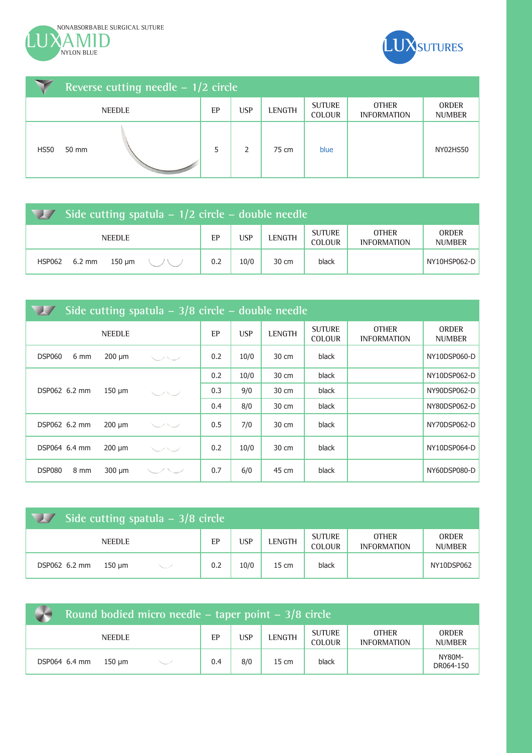



|             | Reverse cutting needle $-1/2$ circle |               |    |            |               |                                |                                    |                               |  |  |  |
|-------------|--------------------------------------|---------------|----|------------|---------------|--------------------------------|------------------------------------|-------------------------------|--|--|--|
|             |                                      | <b>NEEDLE</b> | EP | <b>USP</b> | <b>LENGTH</b> | <b>SUTURE</b><br><b>COLOUR</b> | <b>OTHER</b><br><b>INFORMATION</b> | <b>ORDER</b><br><b>NUMBER</b> |  |  |  |
| <b>HS50</b> | 50 mm                                |               | 5  | 2          | 75 cm         | blue                           |                                    | NY02HS50                      |  |  |  |

| Side cutting spatula $-1/2$ circle $-$ double needle |     |            |        |                                |                                    |                               |  |  |  |  |
|------------------------------------------------------|-----|------------|--------|--------------------------------|------------------------------------|-------------------------------|--|--|--|--|
| <b>NEEDLE</b>                                        | EP  | <b>USP</b> | LENGTH | <b>SUTURE</b><br><b>COLOUR</b> | <b>OTHER</b><br><b>INFORMATION</b> | <b>ORDER</b><br><b>NUMBER</b> |  |  |  |  |
| $6.2 \text{ mm}$<br>$150 \mu m$<br><b>HSP062</b>     | 0.2 | 10/0       | 30 cm  | black                          |                                    | NY10HSP062-D                  |  |  |  |  |

|                       |               |      |     | Side cutting spatula $-3/8$ circle $-$ double needle |               |                                |                                    |                               |  |
|-----------------------|---------------|------|-----|------------------------------------------------------|---------------|--------------------------------|------------------------------------|-------------------------------|--|
|                       | <b>NEEDLE</b> |      | EP  | <b>USP</b>                                           | <b>LENGTH</b> | <b>SUTURE</b><br><b>COLOUR</b> | <b>OTHER</b><br><b>INFORMATION</b> | <b>ORDER</b><br><b>NUMBER</b> |  |
| <b>DSP060</b><br>6 mm | $200 \mu m$   | マンマン | 0.2 | 10/0                                                 | 30 cm         | black                          |                                    | NY10DSP060-D                  |  |
|                       |               |      | 0.2 | 10/0                                                 | 30 cm         | black                          |                                    | NY10DSP062-D                  |  |
| DSP062 6.2 mm         | $150 \mu m$   | マンマン | 0.3 | 9/0                                                  | 30 cm         | black                          |                                    | NY90DSP062-D                  |  |
|                       |               |      | 0.4 | 8/0                                                  | 30 cm         | black                          |                                    | NY80DSP062-D                  |  |
| DSP062 6.2 mm         | $200 \mu m$   | ーー   | 0.5 | 7/0                                                  | 30 cm         | black                          |                                    | NY70DSP062-D                  |  |
| DSP064 6.4 mm         | $200 \mu m$   | マンマン | 0.2 | 10/0                                                 | 30 cm         | black                          |                                    | NY10DSP064-D                  |  |
| 8 mm<br>DSP080        | $300 \mu m$   |      | 0.7 | 6/0                                                  | 45 cm         | black                          |                                    | NY60DSP080-D                  |  |

| Side cutting spatula $-3/8$ circle |     |            |        |                                |                                    |                               |  |  |  |  |
|------------------------------------|-----|------------|--------|--------------------------------|------------------------------------|-------------------------------|--|--|--|--|
| <b>NEEDLE</b>                      | EP  | <b>USP</b> | LENGTH | <b>SUTURE</b><br><b>COLOUR</b> | <b>OTHER</b><br><b>INFORMATION</b> | <b>ORDER</b><br><b>NUMBER</b> |  |  |  |  |
| DSP062 6.2 mm<br>150 um            | 0.2 | 10/0       | 15 cm  | black                          |                                    | NY10DSP062                    |  |  |  |  |

| v | Round bodied micro needle – taper point – 3/8 circle |               |  |     |     |               |                                |                                    |                               |  |  |
|---|------------------------------------------------------|---------------|--|-----|-----|---------------|--------------------------------|------------------------------------|-------------------------------|--|--|
|   |                                                      | <b>NEEDLE</b> |  | EP  | USP | <b>LENGTH</b> | <b>SUTURE</b><br><b>COLOUR</b> | <b>OTHER</b><br><b>INFORMATION</b> | <b>ORDER</b><br><b>NUMBER</b> |  |  |
|   | DSP064 6.4 mm                                        | 150 um        |  | 0.4 | 8/0 | 15 cm         | black                          |                                    | <b>NY80M-</b><br>DR064-150    |  |  |